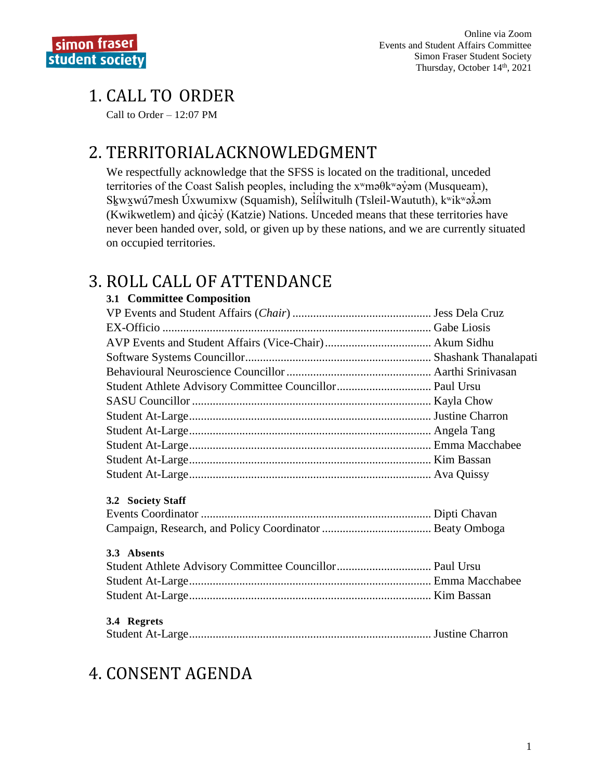# **1. CALL TO ORDER**

Call to Order  $-12:07$  PM

# 2. TERRITORIAL ACKNOWLEDGMENT

We respectfully acknowledge that the SFSS is located on the traditional, unceded territories of the Coast Salish peoples, including the x<sup>w</sup>maθk<sup>w</sup>ay am (Musqueam), Skwxwú7mesh Úxwumixw (Squamish), Selílwitulh (Tsleil-Waututh), kwikwa $\lambda$ om (Kwikwetlem) and qicay (Katzie) Nations. Unceded means that these territories have never been handed over, sold, or given up by these nations, and we are currently situated on occupied territories.

# 3. ROLL CALL OF ATTENDANCE

### 3.1 Committee Composition

| 3.2 Society Staff |  |
|-------------------|--|
|                   |  |
|                   |  |
| 3.3 Absents       |  |
|                   |  |
|                   |  |
|                   |  |
| 3.4 Regrets       |  |
|                   |  |
|                   |  |

# **4. CONSENT AGENDA**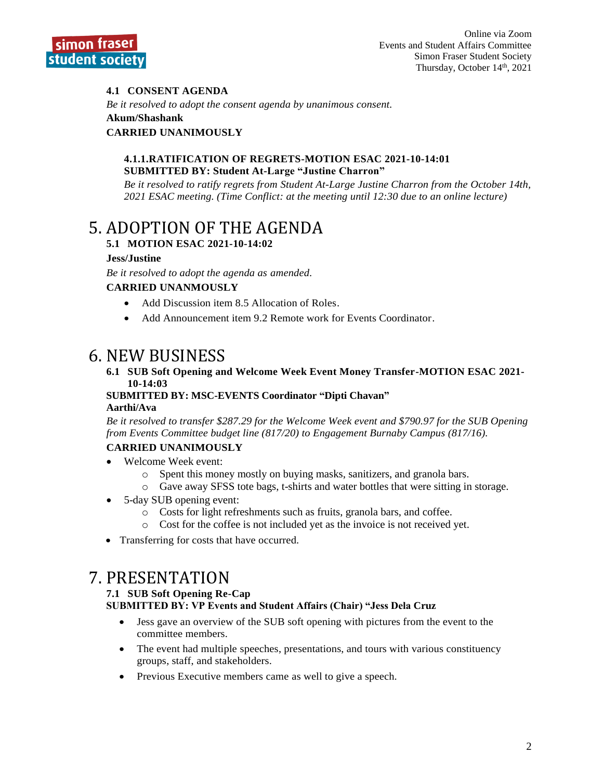

### **4.1 CONSENT AGENDA**

*Be it resolved to adopt the consent agenda by unanimous consent.*

#### **Akum/Shashank**

#### **CARRIED UNANIMOUSLY**

#### **4.1.1.RATIFICATION OF REGRETS-MOTION ESAC 2021-10-14:01 SUBMITTED BY: Student At-Large "Justine Charron"**

*Be it resolved to ratify regrets from Student At-Large Justine Charron from the October 14th, 2021 ESAC meeting. (Time Conflict: at the meeting until 12:30 due to an online lecture)*

## 5. ADOPTION OF THE AGENDA

### **5.1 MOTION ESAC 2021-10-14:02**

#### **Jess/Justine**

*Be it resolved to adopt the agenda as amended.*

#### **CARRIED UNANMOUSLY**

- Add Discussion item 8.5 Allocation of Roles.
- Add Announcement item 9.2 Remote work for Events Coordinator.

## 6. NEW BUSINESS

#### **6.1 SUB Soft Opening and Welcome Week Event Money Transfer-MOTION ESAC 2021- 10-14:03**

#### **SUBMITTED BY: MSC-EVENTS Coordinator "Dipti Chavan" Aarthi/Ava**

*Be it resolved to transfer \$287.29 for the Welcome Week event and \$790.97 for the SUB Opening from Events Committee budget line (817/20) to Engagement Burnaby Campus (817/16).*

#### **CARRIED UNANIMOUSLY**

- Welcome Week event:
	- o Spent this money mostly on buying masks, sanitizers, and granola bars.
	- o Gave away SFSS tote bags, t-shirts and water bottles that were sitting in storage.
- 5-day SUB opening event:
	- o Costs for light refreshments such as fruits, granola bars, and coffee.
	- o Cost for the coffee is not included yet as the invoice is not received yet.
- Transferring for costs that have occurred.

## 7. PRESENTATION

#### **7.1 SUB Soft Opening Re-Cap**

**SUBMITTED BY: VP Events and Student Affairs (Chair) "Jess Dela Cruz**

- Jess gave an overview of the SUB soft opening with pictures from the event to the committee members.
- The event had multiple speeches, presentations, and tours with various constituency groups, staff, and stakeholders.
- Previous Executive members came as well to give a speech.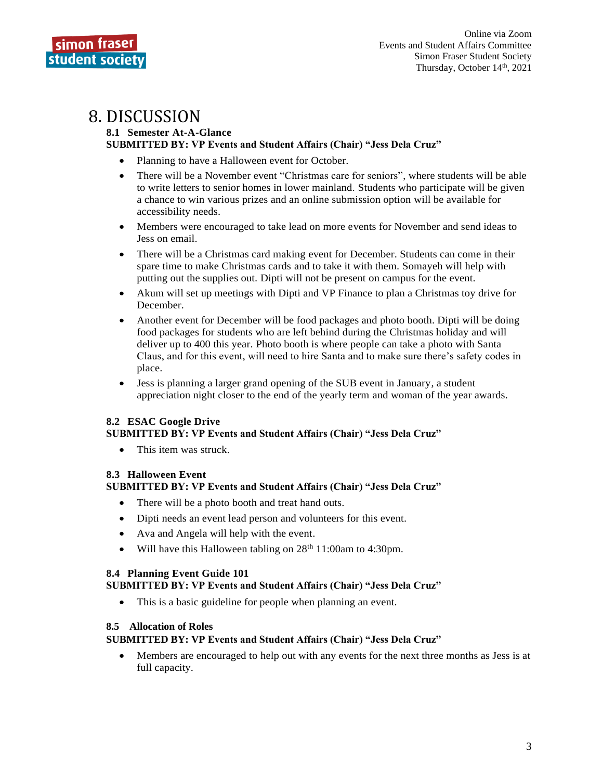

## 8. DISCUSSION

#### **8.1 Semester At-A-Glance SUBMITTED BY: VP Events and Student Affairs (Chair) "Jess Dela Cruz"**

- Planning to have a Halloween event for October.
- There will be a November event "Christmas care for seniors", where students will be able to write letters to senior homes in lower mainland. Students who participate will be given a chance to win various prizes and an online submission option will be available for accessibility needs.
- Members were encouraged to take lead on more events for November and send ideas to Jess on email.
- There will be a Christmas card making event for December. Students can come in their spare time to make Christmas cards and to take it with them. Somayeh will help with putting out the supplies out. Dipti will not be present on campus for the event.
- Akum will set up meetings with Dipti and VP Finance to plan a Christmas toy drive for December.
- Another event for December will be food packages and photo booth. Dipti will be doing food packages for students who are left behind during the Christmas holiday and will deliver up to 400 this year. Photo booth is where people can take a photo with Santa Claus, and for this event, will need to hire Santa and to make sure there's safety codes in place.
- Jess is planning a larger grand opening of the SUB event in January, a student appreciation night closer to the end of the yearly term and woman of the year awards.

#### **8.2 ESAC Google Drive**

#### **SUBMITTED BY: VP Events and Student Affairs (Chair) "Jess Dela Cruz"**

This item was struck.

### **8.3 Halloween Event**

#### **SUBMITTED BY: VP Events and Student Affairs (Chair) "Jess Dela Cruz"**

- There will be a photo booth and treat hand outs.
- Dipti needs an event lead person and volunteers for this event.
- Ava and Angela will help with the event.
- Will have this Halloween tabling on  $28<sup>th</sup> 11:00$ am to 4:30pm.

#### **8.4 Planning Event Guide 101**

#### **SUBMITTED BY: VP Events and Student Affairs (Chair) "Jess Dela Cruz"**

• This is a basic guideline for people when planning an event.

#### **8.5 Allocation of Roles**

#### **SUBMITTED BY: VP Events and Student Affairs (Chair) "Jess Dela Cruz"**

• Members are encouraged to help out with any events for the next three months as Jess is at full capacity.